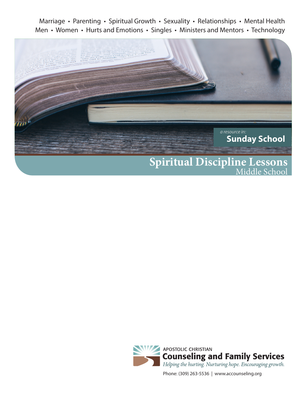Marriage • Parenting • Spiritual Growth • Sexuality • Relationships • Mental Health Men • Women • Hurts and Emotions • Singles • Ministers and Mentors • Technology





Phone: (309) 263-5536 | www.accounseling.org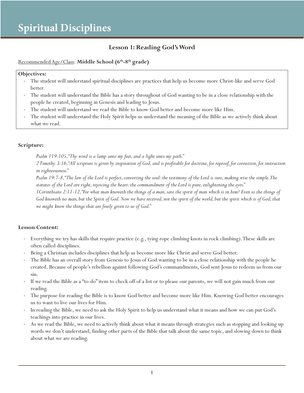### **Lesson 1: Reading God's Word**

Recommended Age/Class: Middle School (6<sup>th</sup>-8<sup>th</sup> grade)

#### **Objectives:**

- The student will understand spiritual disciplines are practices that help us become more Christ-like and serve God better.
- The student will understand the Bible has a story throughout of God wanting to be in a close relationship with the people he created, beginning in Genesis and leading to Jesus.
- The student will understand we read the Bible to know God better and become more like Him.
- The student will understand the Holy Spirit helps us understand the meaning of the Bible as we actively think about what we read.

#### **Scripture:**

*Psalm 119:105, "Thy word is a lamp unto my feet, and a light unto my path."*

*2 Timothy 3:16, "All scripture is given by inspiration of God, and is profitable for doctrine, for reproof, for correction, for instruction in righteousness."*

*Psalm 19:7-8, "The law of the Lord is perfect, converting the soul: the testimony of the Lord is sure, making wise the simple. The statutes of the Lord are right, rejoicing the heart: the commandment of the Lord is pure, enlightening the eyes."*

*1Corinthians 2:11-12, "For what man knoweth the things of a man, save the spirit of man which is in him? Even so the things of God knoweth no man, but the Spirit of God. Now we have received, not the spirit of the world, but the spirit which is of God; that we might know the things that are freely given to us of God."*

#### **Lesson Content:**

- Everything we try has skills that require practice (e.g., tying rope climbing knots in rock climbing). These skills are often called disciplines.
- Being a Christian includes disciplines that help us become more like Christ and serve God better.
- The Bible has an overall story from Genesis to Jesus of God wanting to be in a close relationship with the people he created. Because of people's rebellion against following God's commandments, God sent Jesus to redeem us from our sin.
- If we read the Bible as a "to-do" item to check off of a list or to please our parents, we will not gain much from our reading.
- The purpose for reading the Bible is to know God better and become more like Him. Knowing God better encourages us to want to live our lives for Him.
- In reading the Bible, we need to ask the Holy Spirit to help us understand what it means and how we can put God's teachings into practice in our lives.
- As we read the Bible, we need to actively think about what it means through strategies such as stopping and looking up words we don't understand, finding other parts of the Bible that talk about the same topic, and slowing down to think about what we are reading.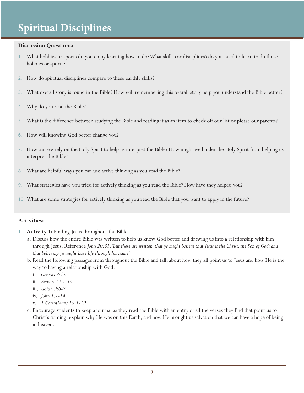#### **Discussion Questions:**

- 1. What hobbies or sports do you enjoy learning how to do? What skills (or disciplines) do you need to learn to do those hobbies or sports?
- 2. How do spiritual disciplines compare to these earthly skills?
- 3. What overall story is found in the Bible? How will remembering this overall story help you understand the Bible better?
- 4. Why do you read the Bible?
- 5. What is the difference between studying the Bible and reading it as an item to check off our list or please our parents?
- 6. How will knowing God better change you?
- 7. How can we rely on the Holy Spirit to help us interpret the Bible? How might we hinder the Holy Spirit from helping us interpret the Bible?
- 8. What are helpful ways you can use active thinking as you read the Bible?
- 9. What strategies have you tried for actively thinking as you read the Bible? How have they helped you?
- 10. What are some strategies for actively thinking as you read the Bible that you want to apply in the future?

#### **Activities:**

- 1. **Activity 1:** Finding Jesus throughout the Bible
	- a. Discuss how the entire Bible was written to help us know God better and drawing us into a relationship with him through Jesus. Reference *John 20:31, "But these are written, that ye might believe that Jesus is the Christ, the Son of God; and that believing ye might have life through his name."*
	- b. Read the following passages from throughout the Bible and talk about how they all point us to Jesus and how He is the way to having a relationship with God.
		- i. *Genesis 3:15*
		- ii. *Exodus 12:1-14*
		- iii. *Isaiah 9:6-7*
		- iv. *John 1:1-14*
		- v. *1 Corinthians 15:1-19*
	- c. Encourage students to keep a journal as they read the Bible with an entry of all the verses they find that point us to Christ's coming, explain why He was on this Earth, and how He brought us salvation that we can have a hope of being in heaven.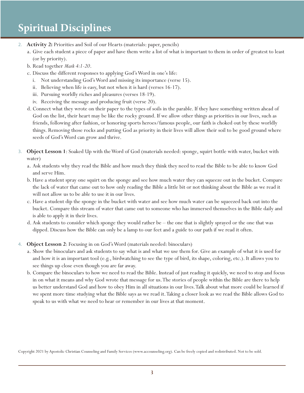- 2. **Activity 2:** Priorities and Soil of our Hearts (materials: paper, pencils)
	- a. Give each student a piece of paper and have them write a list of what is important to them in order of greatest to least (or by priority).
	- b. Read together *Mark 4:1-20*.
	- c. Discuss the different responses to applying God's Word in one's life:
		- i. Not understanding God's Word and missing its importance (verse 15).
		- ii. Believing when life is easy, but not when it is hard (verses 16-17).
		- iii. Pursuing worldly riches and pleasures (verses 18-19).
		- iv. Receiving the message and producing fruit (verse 20).
	- d. Connect what they wrote on their paper to the types of soils in the parable. If they have something written ahead of God on the list, their heart may be like the rocky ground. If we allow other things as priorities in our lives, such as friends, following after fashion, or honoring sports heroes/famous people, our faith is choked out by these worldly things. Removing those rocks and putting God as priority in their lives will allow their soil to be good ground where seeds of God's Word can grow and thrive.
- 3. **Object Lesson 1**: Soaked Up with the Word of God (materials needed: sponge, squirt bottle with water, bucket with water)
	- a. Ask students why they read the Bible and how much they think they need to read the Bible to be able to know God and serve Him.
	- b. Have a student spray one squirt on the sponge and see how much water they can squeeze out in the bucket. Compare the lack of water that came out to how only reading the Bible a little bit or not thinking about the Bible as we read it will not allow us to be able to use it in our lives.
	- c. Have a student dip the sponge in the bucket with water and see how much water can be squeezed back out into the bucket. Compare this stream of water that came out to someone who has immersed themselves in the Bible daily and is able to apply it in their lives.
	- d. Ask students to consider which sponge they would rather be the one that is slightly sprayed or the one that was dipped. Discuss how the Bible can only be a lamp to our feet and a guide to our path if we read it often.
- 4. **Object Lesson 2**: Focusing in on God's Word (materials needed: binoculars)
	- a. Show the binoculars and ask students to say what is and what we use them for. Give an example of what it is used for and how it is an important tool (e.g., birdwatching to see the type of bird, its shape, coloring, etc.). It allows you to see things up close even though you are far away.
	- b. Compare the binoculars to how we need to read the Bible. Instead of just reading it quickly, we need to stop and focus in on what it means and why God wrote that message for us. The stories of people within the Bible are there to help us better understand God and how to obey Him in all situations in our lives. Talk about what more could be learned if we spent more time studying what the Bible says as we read it. Taking a closer look as we read the Bible allows God to speak to us with what we need to hear or remember in our lives at that moment.

Copyright 2021 by Apostolic Christian Counseling and Family Services (www.accounseling.org). Can be freely copied and redistributed. Not to be sold.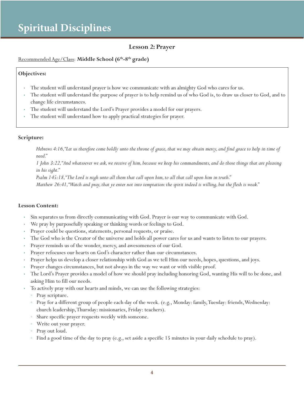### **Lesson 2: Prayer**

#### Recommended Age/Class: **Middle School (6th-8th grade)**

#### **Objectives:**

- The student will understand prayer is how we communicate with an almighty God who cares for us.
- The student will understand the purpose of prayer is to help remind us of who God is, to draw us closer to God, and to change life circumstances.
- The student will understand the Lord's Prayer provides a model for our prayers.
- The student will understand how to apply practical strategies for prayer.

#### **Scripture:**

*Hebrews 4:16, "Let us therefore come boldly unto the throne of grace, that we may obtain mercy, and find grace to help in time of need."*

*1 John 3:22, "And whatsoever we ask, we receive of him, because we keep his commandments, and do those things that are pleasing in his sight."*

*Psalm 145:18, "The Lord is nigh unto all them that call upon him, to all that call upon him in truth."*

*Matthew 26:41, "Watch and pray, that ye enter not into temptation: the spirit indeed is willing, but the flesh is weak."*

#### **Lesson Content:**

- Sin separates us from directly communicating with God. Prayer is our way to communicate with God.
- We pray by purposefully speaking or thinking words or feelings to God.
- Prayer could be questions, statements, personal requests, or praise.
- The God who is the Creator of the universe and holds all power cares for us and wants to listen to our prayers.
- Prayer reminds us of the wonder, mercy, and awesomeness of our God.
- Prayer refocuses our hearts on God's character rather than our circumstances.
- Prayer helps us develop a closer relationship with God as we tell Him our needs, hopes, questions, and joys.
- Prayer changes circumstances, but not always in the way we want or with visible proof.
- The Lord's Prayer provides a model of how we should pray including honoring God, wanting His will to be done, and asking Him to fill our needs.
- To actively pray with our hearts and minds, we can use the following strategies:
	- Pray scripture.
	- Pray for a different group of people each day of the week. (e.g., Monday: family, Tuesday: friends, Wednesday: church leadership, Thursday: missionaries, Friday: teachers).
	- Share specific prayer requests weekly with someone.
	- Write out your prayer.
	- Pray out loud.
	- Find a good time of the day to pray (e.g., set aside a specific 15 minutes in your daily schedule to pray).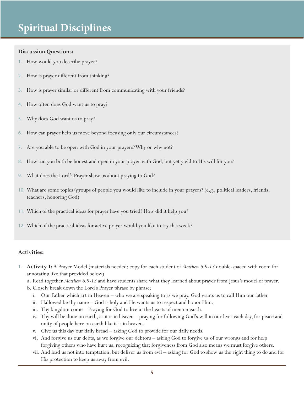#### **Discussion Questions:**

- 1. How would you describe prayer?
- 2. How is prayer different from thinking?
- 3. How is prayer similar or different from communicating with your friends?
- 4. How often does God want us to pray?
- 5. Why does God want us to pray?
- 6. How can prayer help us move beyond focusing only our circumstances?
- 7. Are you able to be open with God in your prayers? Why or why not?
- 8. How can you both be honest and open in your prayer with God, but yet yield to His will for you?
- 9. What does the Lord's Prayer show us about praying to God?
- 10. What are some topics/groups of people you would like to include in your prayers? (e.g., political leaders, friends, teachers, honoring God)
- 11. Which of the practical ideas for prayer have you tried? How did it help you?
- 12. Which of the practical ideas for active prayer would you like to try this week?

#### **Activities:**

- 1. **Activity 1:** A Prayer Model (materials needed: copy for each student of *Matthew 6:9-13* double-spaced with room for annotating like that provided below)
	- a. Read together *Matthew 6:9-13* and have students share what they learned about prayer from Jesus's model of prayer.
	- b. Closely break down the Lord's Prayer phrase by phrase:
		- i. Our Father which art in Heaven who we are speaking to as we pray, God wants us to call Him our father.
		- ii. Hallowed be thy name God is holy and He wants us to respect and honor Him.
		- iii. Thy kingdom come Praying for God to live in the hearts of men on earth.
		- iv. Thy will be done on earth, as it is in heaven praying for following God's will in our lives each day, for peace and unity of people here on earth like it is in heaven.
		- v. Give us this day our daily bread asking God to provide for our daily needs.
		- vi. And forgive us our debts, as we forgive our debtors asking God to forgive us of our wrongs and for help forgiving others who have hurt us, recognizing that forgiveness from God also means we must forgive others.
		- vii. And lead us not into temptation, but deliver us from evil asking for God to show us the right thing to do and for His protection to keep us away from evil.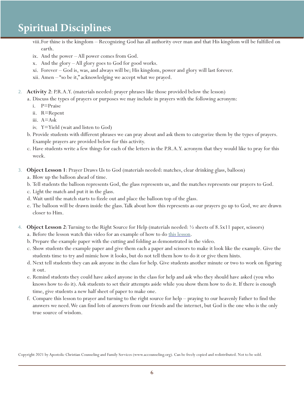- viii.For thine is the kingdom Recognizing God has all authority over man and that His kingdom will be fulfilled on earth.
- ix. And the power All power comes from God.
- x. And the glory All glory goes to God for good works.
- xi. Forever God is, was, and always will be; His kingdom, power and glory will last forever.
- xii. Amen "so be it," acknowledging we accept what we prayed.
- 2. **Activity 2**: P.R.A.Y. (materials needed: prayer phrases like those provided below the lesson)
	- a. Discuss the types of prayers or purposes we may include in prayers with the following acronym:
		- i. P=Praise
		- ii. R=Repent
		- iii. A=Ask
		- iv. Y=Yield (wait and listen to God)
	- b. Provide students with different phrases we can pray about and ask them to categorize them by the types of prayers. Example prayers are provided below for this activity.
	- c. Have students write a few things for each of the letters in the P.R.A.Y. acronym that they would like to pray for this week.
- 3. **Object Lesson 1**: Prayer Draws Us to God (materials needed: matches, clear drinking glass, balloon)
	- a. Blow up the balloon ahead of time.
	- b. Tell students the balloon represents God, the glass represents us, and the matches represents our prayers to God.
	- c. Light the match and put it in the glass.
	- d. Wait until the match starts to fizzle out and place the balloon top of the glass.
	- e. The balloon will be drawn inside the glass. Talk about how this represents as our prayers go up to God, we are drawn closer to Him.
- 4. **Object Lesson 2**: Turning to the Right Source for Help (materials needed: ½ sheets of 8.5x11 paper, scissors)
	- a. Before the lesson watch this video for an example of how to do this lesson.
	- b. Prepare the example paper with the cutting and folding as demonstrated in the video.
	- c. Show students the example paper and give them each a paper and scissors to make it look like the example. Give the students time to try and mimic how it looks, but do not tell them how to do it or give them hints.
	- d. Next tell students they can ask anyone in the class for help. Give students another minute or two to work on figuring it out.
	- e. Remind students they could have asked anyone in the class for help and ask who they should have asked (you who knows how to do it). Ask students to set their attempts aside while you show them how to do it. If there is enough time, give students a new half sheet of paper to make one.
	- f. Compare this lesson to prayer and turning to the right source for help praying to our heavenly Father to find the answers we need. We can find lots of answers from our friends and the internet, but God is the one who is the only true source of wisdom.

Copyright 2021 by Apostolic Christian Counseling and Family Services (www.accounseling.org). Can be freely copied and redistributed. Not to be sold.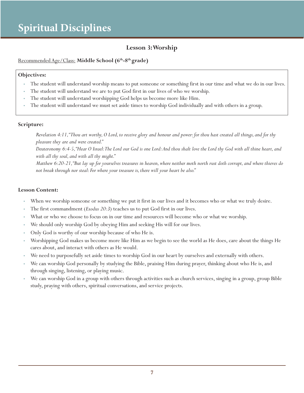### **Lesson 3: Worship**

Recommended Age/Class: **Middle School (6th-8th grade)**

#### **Objectives:**

- The student will understand worship means to put someone or something first in our time and what we do in our lives.
- The student will understand we are to put God first in our lives of who we worship.
- The student will understand worshipping God helps us become more like Him.
- The student will understand we must set aside times to worship God individually and with others in a group.

#### **Scripture:**

*Revelation 4:11, "Thou art worthy, O Lord, to receive glory and honour and power: for thou hast created all things, and for thy pleasure they are and were created."*

*Deuteronomy 6:4-5, "Hear O Israel: The Lord our God is one Lord: And thou shalt love the Lord thy God with all thine heart, and with all thy soul, and with all thy might."*

*Matthew 6:20-21, "But lay up for yourselves treasures in heaven, where neither moth north rust doth corrupt, and where thieves do not break through nor steal: For where your treasure is, there will your heart be also."*

#### **Lesson Content:**

- When we worship someone or something we put it first in our lives and it becomes who or what we truly desire.
- The first commandment (*Exodus 20:3*) teaches us to put God first in our lives.
- What or who we choose to focus on in our time and resources will become who or what we worship.
- We should only worship God by obeying Him and seeking His will for our lives.
- Only God is worthy of our worship because of who He is.
- Worshipping God makes us become more like Him as we begin to see the world as He does, care about the things He cares about, and interact with others as He would.
- We need to purposefully set aside times to worship God in our heart by ourselves and externally with others.
- We can worship God personally by studying the Bible, praising Him during prayer, thinking about who He is, and through singing, listening, or playing music.
- We can worship God in a group with others through activities such as church services, singing in a group, group Bible study, praying with others, spiritual conversations, and service projects.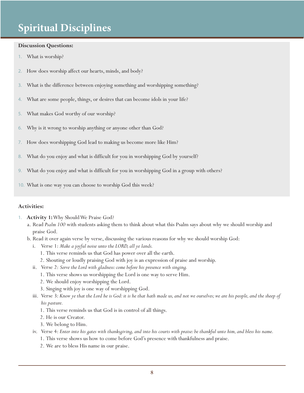#### **Discussion Questions:**

- 1. What is worship?
- 2. How does worship affect our hearts, minds, and body?
- 3. What is the difference between enjoying something and worshipping something?
- 4. What are some people, things, or desires that can become idols in your life?
- 5. What makes God worthy of our worship?
- 6. Why is it wrong to worship anything or anyone other than God?
- 7. How does worshipping God lead to making us become more like Him?
- 8. What do you enjoy and what is difficult for you in worshipping God by yourself?
- 9. What do you enjoy and what is difficult for you in worshipping God in a group with others?
- 10. What is one way you can choose to worship God this week?

#### **Activities:**

- 1. **Activity 1:** Why Should We Praise God?
	- a. Read *Psalm 100* with students asking them to think about what this Psalm says about why we should worship and praise God.
	- b. Read it over again verse by verse, discussing the various reasons for why we should worship God:
		- i. Verse 1: *Make a joyful noise unto the LORD, all ye lands.*
			- 1. This verse reminds us that God has power over all the earth.
			- 2. Shouting or loudly praising God with joy is an expression of praise and worship.
		- ii. Verse 2: *Serve the Lord with gladness: come before his presence with singing.*
			- 1. This verse shows us worshipping the Lord is one way to serve Him.
			- 2. We should enjoy worshipping the Lord.
			- 3. Singing with joy is one way of worshipping God.
		- iii. Verse 3: *Know ye that the Lord he is God: it is he that hath made us, and not we ourselves; we are his people, and the sheep of his pasture.*
			- 1. This verse reminds us that God is in control of all things.
			- 2. He is our Creator.
			- 3. We belong to Him.
		- iv. Verse 4: *Enter into his gates with thanksgiving, and into his courts with praise: be thankful unto him, and bless his name.*
			- 1. This verse shows us how to come before God's presence with thankfulness and praise.
			- 2. We are to bless His name in our praise.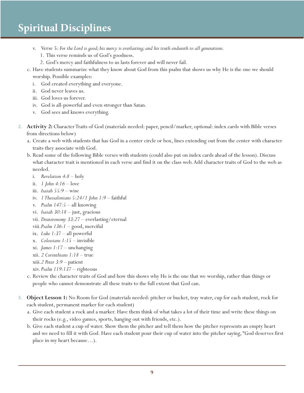- v. Verse 5: *For the Lord is good; his mercy is everlasting; and his truth endureth to all generations.*
	- 1. This verse reminds us of God's goodness.
	- 2. God's mercy and faithfulness to us lasts forever and will never fail.
- c. Have students summarize what they know about God from this psalm that shows us why He is the one we should worship. Possible examples:
	- i. God created everything and everyone.
	- ii. God never leaves us.
	- iii. God loves us forever.
	- iv. God is all-powerful and even stronger than Satan.
	- v. God sees and knows everything.
- 2. **Activity 2:** Character Traits of God (materials needed: paper, pencil/marker, optional: index cards with Bible verses from directions below)
	- a. Create a web with students that has God in a center circle or box, lines extending out from the center with character traits they associate with God.
	- b. Read some of the following Bible verses with students (could also put on index cards ahead of the lesson). Discuss what character trait is mentioned in each verse and find it on the class web. Add character traits of God to the web as needed.
		- i. *Revelation 4:8* holy
		- ii. *1 John 4:16* love
		- iii. *Isaiah 55:9*  wise
		- iv. *1 Thessalonians 5:24/1 John 1:9* faithful
		- v. *Psalm 147:5* all knowing
		- vi. *Isaiah 30:18*  just, gracious
		- vii. *Deuteronomy 33:27* everlasting/eternal
		- viii.*Psalm 136:1*  good, merciful
		- ix. *Luke 1:37* all powerful
		- x. *Colossians 1:15*  invisible
		- xi. *James 1:17*  unchanging
		- xii. *2 Corinthians 1:18*  true
		- xiii.*2 Peter 3:9*  patient
		- xiv. *Psalm 119:137*  righteous
	- c. Review the character traits of God and how this shows why He is the one that we worship, rather than things or people who cannot demonstrate all these traits to the full extent that God can.
- 3. **Object Lesson 1:** No Room for God (materials needed: pitcher or bucket, tray water, cup for each student, rock for each student, permanent marker for each student)
	- a. Give each student a rock and a marker. Have them think of what takes a lot of their time and write these things on their rocks (e.g., video games, sports, hanging out with friends, etc.).
	- b. Give each student a cup of water. Show them the pitcher and tell them how the pitcher represents an empty heart and we need to fill it with God. Have each student pour their cup of water into the pitcher saying, "God deserves first place in my heart because…).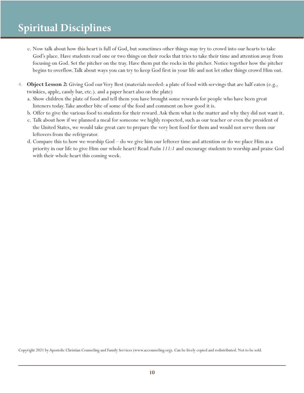- c. Now talk about how this heart is full of God, but sometimes other things may try to crowd into our hearts to take God's place. Have students read one or two things on their rocks that tries to take their time and attention away from focusing on God. Set the pitcher on the tray. Have them put the rocks in the pitcher. Notice together how the pitcher begins to overflow. Talk about ways you can try to keep God first in your life and not let other things crowd Him out.
- 4. **Object Lesson 2:** Giving God our Very Best (materials needed: a plate of food with servings that are half eaten (e.g., twinkies, apple, candy bar, etc.). and a paper heart also on the plate)
	- a. Show children the plate of food and tell them you have brought some rewards for people who have been great listeners today. Take another bite of some of the food and comment on how good it is.
	- b. Offer to give the various food to students for their reward. Ask them what is the matter and why they did not want it.
	- c. Talk about how if we planned a meal for someone we highly respected, such as our teacher or even the president of the United States, we would take great care to prepare the very best food for them and would not serve them our leftovers from the refrigerator.
	- d. Compare this to how we worship God do we give him our leftover time and attention or do we place Him as a priority in our life to give Him our whole heart? Read *Psalm 111:1* and encourage students to worship and praise God with their whole heart this coming week.

Copyright 2021 by Apostolic Christian Counseling and Family Services (www.accounseling.org). Can be freely copied and redistributed. Not to be sold.